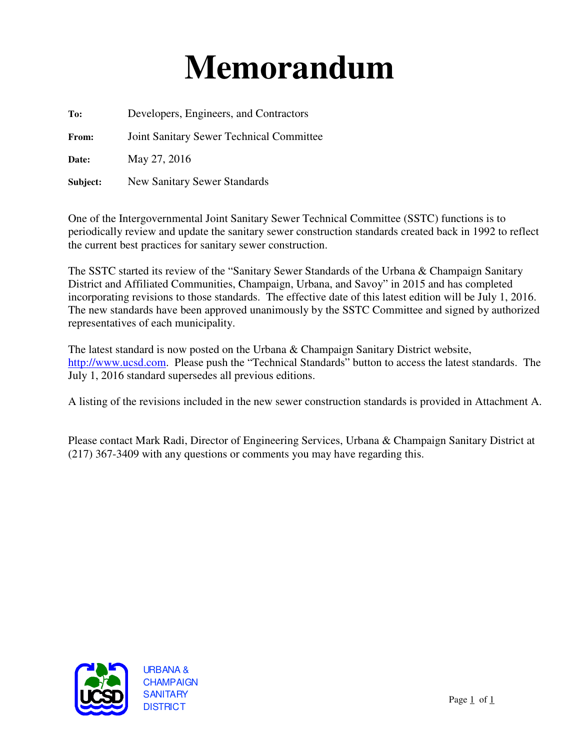## **Memorandum**

**To:** Developers, Engineers, and Contractors

**From:** Joint Sanitary Sewer Technical Committee

**Date:** May 27, 2016

**Subject:** New Sanitary Sewer Standards

One of the Intergovernmental Joint Sanitary Sewer Technical Committee (SSTC) functions is to periodically review and update the sanitary sewer construction standards created back in 1992 to reflect the current best practices for sanitary sewer construction.

The SSTC started its review of the "Sanitary Sewer Standards of the Urbana & Champaign Sanitary District and Affiliated Communities, Champaign, Urbana, and Savoy" in 2015 and has completed incorporating revisions to those standards. The effective date of this latest edition will be July 1, 2016. The new standards have been approved unanimously by the SSTC Committee and signed by authorized representatives of each municipality.

The latest standard is now posted on the Urbana & Champaign Sanitary District website, http://www.ucsd.com. Please push the "Technical Standards" button to access the latest standards. The July 1, 2016 standard supersedes all previous editions.

A listing of the revisions included in the new sewer construction standards is provided in Attachment A.

Please contact Mark Radi, Director of Engineering Services, Urbana & Champaign Sanitary District at (217) 367-3409 with any questions or comments you may have regarding this.



URBANA & **CHAMPAIGN SANITARY DISTRICT**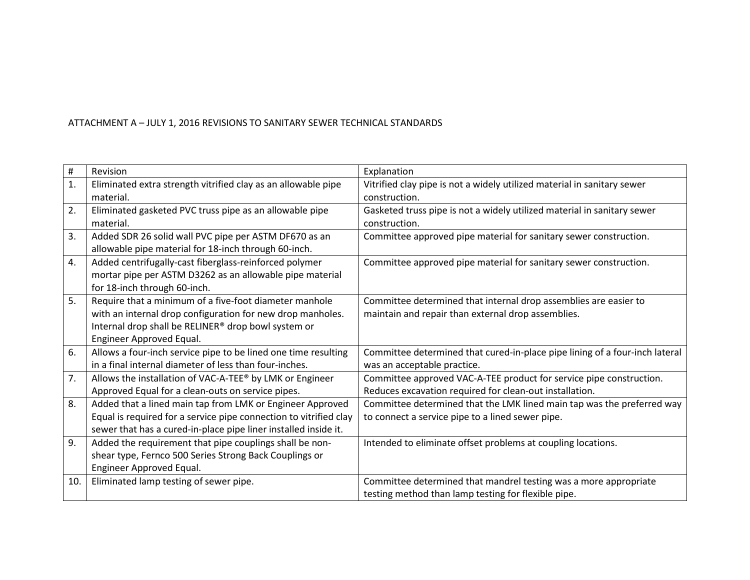## ATTACHMENT A – JULY 1, 2016 REVISIONS TO SANITARY SEWER TECHNICAL STANDARDS

| #   | Revision                                                          | Explanation                                                                 |
|-----|-------------------------------------------------------------------|-----------------------------------------------------------------------------|
| 1.  | Eliminated extra strength vitrified clay as an allowable pipe     | Vitrified clay pipe is not a widely utilized material in sanitary sewer     |
|     | material.                                                         | construction.                                                               |
| 2.  | Eliminated gasketed PVC truss pipe as an allowable pipe           | Gasketed truss pipe is not a widely utilized material in sanitary sewer     |
|     | material.                                                         | construction.                                                               |
| 3.  | Added SDR 26 solid wall PVC pipe per ASTM DF670 as an             | Committee approved pipe material for sanitary sewer construction.           |
|     | allowable pipe material for 18-inch through 60-inch.              |                                                                             |
| 4.  | Added centrifugally-cast fiberglass-reinforced polymer            | Committee approved pipe material for sanitary sewer construction.           |
|     | mortar pipe per ASTM D3262 as an allowable pipe material          |                                                                             |
|     | for 18-inch through 60-inch.                                      |                                                                             |
| 5.  | Require that a minimum of a five-foot diameter manhole            | Committee determined that internal drop assemblies are easier to            |
|     | with an internal drop configuration for new drop manholes.        | maintain and repair than external drop assemblies.                          |
|     | Internal drop shall be RELINER <sup>®</sup> drop bowl system or   |                                                                             |
|     | Engineer Approved Equal.                                          |                                                                             |
| 6.  | Allows a four-inch service pipe to be lined one time resulting    | Committee determined that cured-in-place pipe lining of a four-inch lateral |
|     | in a final internal diameter of less than four-inches.            | was an acceptable practice.                                                 |
| 7.  | Allows the installation of VAC-A-TEE® by LMK or Engineer          | Committee approved VAC-A-TEE product for service pipe construction.         |
|     | Approved Equal for a clean-outs on service pipes.                 | Reduces excavation required for clean-out installation.                     |
| 8.  | Added that a lined main tap from LMK or Engineer Approved         | Committee determined that the LMK lined main tap was the preferred way      |
|     | Equal is required for a service pipe connection to vitrified clay | to connect a service pipe to a lined sewer pipe.                            |
|     | sewer that has a cured-in-place pipe liner installed inside it.   |                                                                             |
| 9.  | Added the requirement that pipe couplings shall be non-           | Intended to eliminate offset problems at coupling locations.                |
|     | shear type, Fernco 500 Series Strong Back Couplings or            |                                                                             |
|     | Engineer Approved Equal.                                          |                                                                             |
| 10. | Eliminated lamp testing of sewer pipe.                            | Committee determined that mandrel testing was a more appropriate            |
|     |                                                                   | testing method than lamp testing for flexible pipe.                         |